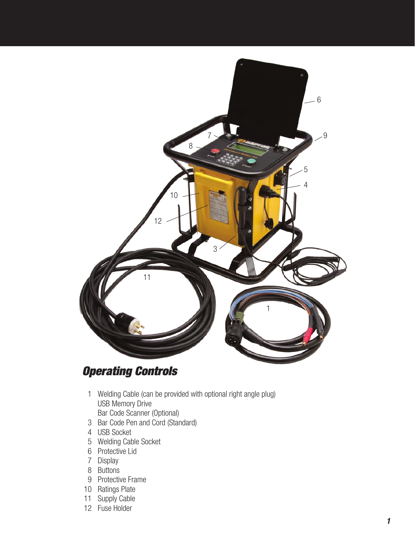

# *Operating Controls*

- 1 Welding Cable (can be provided with optional right angle plug) USB Memory Drive
- Bar Code Scanner (Optional)
- 3 Bar Code Pen and Cord (Standard)
- 4 USB Socket
- 5 Welding Cable Socket
- 6 Protective Lid
- 7 Display
- 8 Buttons
- 9 Protective Frame
- 10 Ratings Plate
- 11 Supply Cable
- 12 Fuse Holder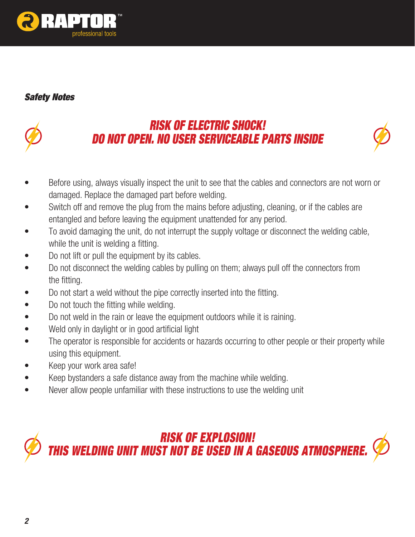

# *Safety Notes*



# *RISK OF ELECTRIC SHOCK! Do not open. No user serviceable parts inside*



- Before using, always visually inspect the unit to see that the cables and connectors are not worn or damaged. Replace the damaged part before welding.
- Switch off and remove the plug from the mains before adjusting, cleaning, or if the cables are entangled and before leaving the equipment unattended for any period.
- To avoid damaging the unit, do not interrupt the supply voltage or disconnect the welding cable, while the unit is welding a fitting.
- Do not lift or pull the equipment by its cables.
- Do not disconnect the welding cables by pulling on them; always pull off the connectors from the fitting.
- Do not start a weld without the pipe correctly inserted into the fitting.
- Do not touch the fitting while welding.
- Do not weld in the rain or leave the equipment outdoors while it is raining.
- Weld only in daylight or in good artificial light
- The operator is responsible for accidents or hazards occurring to other people or their property while using this equipment.
- Keep your work area safe!
- Keep bystanders a safe distance away from the machine while welding.
- Never allow people unfamiliar with these instructions to use the welding unit

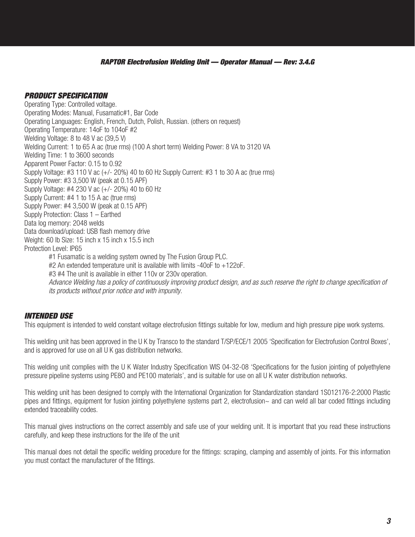# *Product Specification*

Operating Type: Controlled voltage. Operating Modes: Manual, Fusamatic#1, Bar Code Operating Languages: English, French, Dutch, Polish, Russian. (others on request) Operating Temperature: 14oF to 104oF #2 Welding Voltage: 8 to 48 V ac (39,5 V) Welding Current: 1 to 65 A ac (true rms) (100 A short term) Welding Power: 8 VA to 3120 VA Welding Time: 1 to 3600 seconds Apparent Power Factor: 0.15 to 0.92 Supply Voltage: #3 110 V ac (+/- 20%) 40 to 60 Hz Supply Current: #3 1 to 30 A ac (true rms) Supply Power: #3 3,500 W (peak at 0.15 APF) Supply Voltage: #4 230 V ac (+/- 20%) 40 to 60 Hz Supply Current: #4 1 to 15 A ac (true rms) Supply Power: #4 3,500 W (peak at 0.15 APF) Supply Protection: Class 1 – Earthed Data log memory: 2048 welds Data download/upload: USB flash memory drive Weight: 60 lb Size: 15 inch x 15 inch x 15.5 inch Protection Level: IP65 #1 Fusamatic is a welding system owned by The Fusion Group PLC. #2 An extended temperature unit is available with limits -40oF to +122oF. #3 #4 The unit is available in either 110v or 230v operation. Advance Welding has a policy of continuously improving product design, and as such reserve the right to change specification of  *its products without prior notice and with impunity.*

# *INTENDED USE*

This equipment is intended to weld constant voltage electrofusion fittings suitable for low, medium and high pressure pipe work systems.

This welding unit has been approved in the U K by Transco to the standard T/SP/ECE/1 2005 'Specification for Electrofusion Control Boxes', and is approved for use on all U K gas distribution networks.

This welding unit complies with the U K Water Industry Specification WIS 04-32-08 'Specifications for the fusion jointing of polyethylene pressure pipeline systems using PE8O and PE100 materials', and is suitable for use on all U K water distribution networks.

This welding unit has been designed to comply with the International Organization for Standardization standard 1S012176-2:2000 Plastic pipes and fittings, equipment for fusion jointing polyethylene systems part 2, electrofusion~ and can weld all bar coded fittings including extended traceability codes.

This manual gives instructions on the correct assembly and safe use of your welding unit. It is important that you read these instructions carefully, and keep these instructions for the life of the unit

This manual does not detail the specific welding procedure for the fittings: scraping, clamping and assembly of joints. For this information you must contact the manufacturer of the fittings.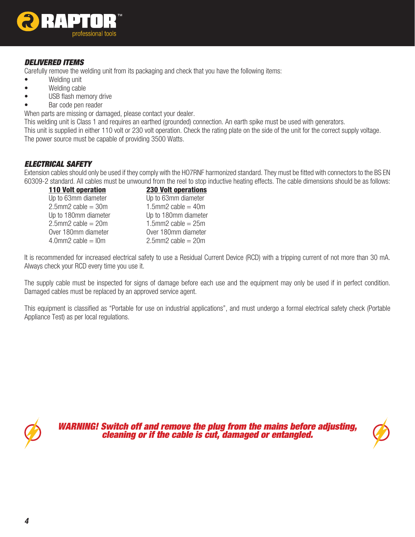

# *DELIVERED ITEMS*

Carefully remove the welding unit from its packaging and check that you have the following items:

- Welding unit
- Welding cable
- USB flash memory drive
- Bar code pen reader

When parts are missing or damaged, please contact your dealer.

This welding unit is Class 1 and requires an earthed (grounded) connection. An earth spike must be used with generators. This unit is supplied in either 110 volt or 230 volt operation. Check the rating plate on the side of the unit for the correct supply voltage. The power source must be capable of providing 3500 Watts.

## *ELECTRICAL SAFETY*

Extension cables should only be used if they comply with the HO7RNF harmonized standard. They must be fitted with connectors to the BS EN 60309-2 standard. All cables must be unwound from the reel to stop inductive heating effects. The cable dimensions should be as follows:

| <b>110 Volt operation</b>   | <b>230 Volt operations</b>  |
|-----------------------------|-----------------------------|
| Up to 63mm diameter         | Up to 63mm diameter         |
| $2.5$ mm $2$ cable = 30m    | 1.5mm2 cable = $40m$        |
| Up to 180mm diameter        | Up to 180mm diameter        |
| $2.5$ mm $2$ cable = $20$ m | $1.5$ mm2 cable = $25$ m    |
| Over 180mm diameter         | Over 180mm diameter         |
| $4.0$ mm $2$ cable = $10$ m | $2.5$ mm $2$ cable = $20$ m |

It is recommended for increased electrical safety to use a Residual Current Device (RCD) with a tripping current of not more than 30 mA. Always check your RCD every time you use it.

The supply cable must be inspected for signs of damage before each use and the equipment may only be used if in perfect condition. Damaged cables must be replaced by an approved service agent.

This equipment is classified as "Portable for use on industrial applications", and must undergo a formal electrical safety check (Portable Appliance Test) as per local regulations.



*WARNING! Switch off and remove the plug from the mains before adjusting, cleaning or if the cable is cut, damaged or entangled.*

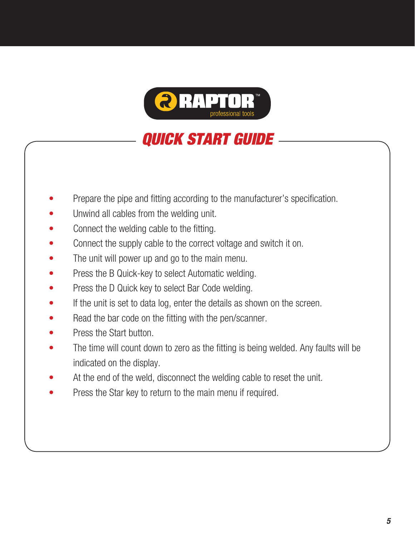

# *QUICK START GUIDE*

- Prepare the pipe and fitting according to the manufacturer's specification.
- Unwind all cables from the welding unit.
- Connect the welding cable to the fitting.
- Connect the supply cable to the correct voltage and switch it on.
- The unit will power up and go to the main menu.
- Press the B Quick-key to select Automatic welding.
- Press the D Quick key to select Bar Code welding.
- If the unit is set to data log, enter the details as shown on the screen.
- Read the bar code on the fitting with the pen/scanner.
- Press the Start button.
- The time will count down to zero as the fitting is being welded. Any faults will be indicated on the display.
- At the end of the weld, disconnect the welding cable to reset the unit.
- Press the Star key to return to the main menu if required.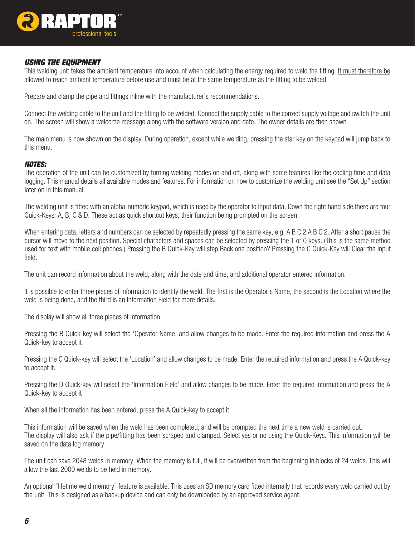

## *USING THE EQUIPMENT*

This welding unit takes the ambient temperature into account when calculating the energy required to weld the fitting. It must therefore be allowed to reach ambient temperature before use and must be at the same temperature as the fitting to be welded.

Prepare and clamp the pipe and fittings inline with the manufacturer's recommendations.

Connect the welding cable to the unit and the fitting to be welded. Connect the supply cable to the correct supply voltage and switch the unit on. The screen will show a welcome message along with the software version and date. The owner details are then shown

The main menu is now shown on the display. During operation, except while welding, pressing the star key on the keypad will jump back to this menu.

#### *Notes:*

The operation of the unit can be customized by turning welding modes on and off, along with some features like the cooling time and data logging. This manual details all available modes and features. For information on how to customize the welding unit see the "Set Up" section later on in this manual.

The welding unit is fitted with an alpha-numeric keypad, which is used by the operator to input data. Down the right hand side there are four Quick-Keys: A, B, C & D. These act as quick shortcut keys, their function being prompted on the screen.

When entering data, letters and numbers can be selected by repeatedly pressing the same key, e.g. A B C 2 A B C 2. After a short pause the cursor will move to the next position. Special characters and spaces can be selected by pressing the 1 or 0 keys. (This is the same method used for text with mobile cell phones.) Pressing the B Quick-Key will step Back one position? Pressing the C Quick-Key will Clear the input field.

The unit can record information about the weld, along with the date and time, and additional operator entered information.

It is possible to enter three pieces of information to identify the weld. The first is the Operator's Name, the second is the Location where the weld is being done, and the third is an Information Field for more details.

The display will show all three pieces of information:

Pressing the B Quick-key will select the 'Operator Name' and allow changes to be made. Enter the required information and press the A Quick-key to accept it

Pressing the C Quick-key will select the 'Location' and allow changes to be made. Enter the required information and press the A Quick-key to accept it.

Pressing the D Quick-key will select the 'Information Field' and allow changes to be made. Enter the required information and press the A Quick-key to accept it

When all the information has been entered, press the A Quick-key to accept it.

This information will be saved when the weld has been completed, and will be prompted the next time a new weld is carried out. The display will also ask if the pipe/fitting has been scraped and clamped. Select yes or no using the Quick-Keys. This information will be saved on the data log memory.

The unit can save 2048 welds in memory. When the memory is full, it will be overwritten from the beginning in blocks of 24 welds. This will allow the last 2000 welds to be held in memory.

An optional "lifetime weld memory" feature is available. This uses an SD memory card fitted internally that records every weld carried out by the unit. This is designed as a backup device and can only be downloaded by an approved service agent.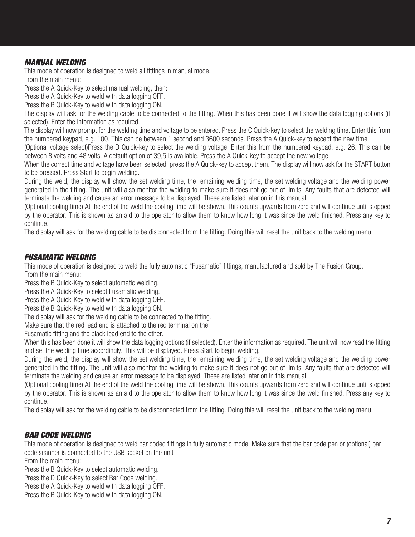# *MANUAL WELDING*

This mode of operation is designed to weld all fittings in manual mode. From the main menu:

Press the A Quick-Key to select manual welding, then:

Press the A Quick-Key to weld with data logging OFF.

Press the B Quick-Key to weld with data logging ON.

The display will ask for the welding cable to be connected to the fitting. When this has been done it will show the data logging options (if selected). Enter the information as required.

The display will now prompt for the welding time and voltage to be entered. Press the C Quick-key to select the welding time. Enter this from the numbered keypad, e.g. 100. This can be between 1 second and 3600 seconds. Press the A Quick-key to accept the new time.

(Optional voltage select)Press the D Quick-key to select the welding voltage. Enter this from the numbered keypad, e.g. 26. This can be between 8 volts and 48 volts. A default option of 39,5 is available. Press the A Quick-key to accept the new voltage.

When the correct time and voltage have been selected, press the A Quick-key to accept them. The display will now ask for the START button to be pressed. Press Start to begin welding.

During the weld, the display will show the set welding time, the remaining welding time, the set welding voltage and the welding power generated in the fitting. The unit will also monitor the welding to make sure it does not go out of limits. Any faults that are detected will terminate the welding and cause an error message to be displayed. These are listed later on in this manual.

(Optional cooling time) At the end of the weld the cooling time will be shown. This counts upwards from zero and will continue until stopped by the operator. This is shown as an aid to the operator to allow them to know how long it was since the weld finished. Press any key to continue.

The display will ask for the welding cable to be disconnected from the fitting. Doing this will reset the unit back to the welding menu.

# *FUSAMATIC WELDING*

This mode of operation is designed to weld the fully automatic "Fusamatic" fittings, manufactured and sold by The Fusion Group. From the main menu:

Press the B Quick-Key to select automatic welding.

Press the A Quick-Key to select Fusamatic welding.

Press the A Quick-Key to weld with data logging OFF.

Press the B Quick-Key to weld with data logging ON.

The display will ask for the welding cable to be connected to the fitting.

Make sure that the red lead end is attached to the red terminal on the

Fusamatic fitting and the black lead end to the other.

When this has been done it will show the data logging options (if selected). Enter the information as required. The unit will now read the fitting and set the welding time accordingly. This will be displayed. Press Start to begin welding.

During the weld, the display will show the set welding time, the remaining welding time, the set welding voltage and the welding power generated in the fitting. The unit will also monitor the welding to make sure it does not go out of limits. Any faults that are detected will terminate the welding and cause an error message to be displayed. These are listed later on in this manual.

(Optional cooling time) At the end of the weld the cooling time will be shown. This counts upwards from zero and will continue until stopped by the operator. This is shown as an aid to the operator to allow them to know how long it was since the weld finished. Press any key to continue.

The display will ask for the welding cable to be disconnected from the fitting. Doing this will reset the unit back to the welding menu.

## *BAR CODE WELDING*

This mode of operation is designed to weld bar coded fittings in fully automatic mode. Make sure that the bar code pen or (optional) bar code scanner is connected to the USB socket on the unit

From the main menu:

Press the B Quick-Key to select automatic welding.

Press the D Quick-Key to select Bar Code welding.

Press the A Quick-Key to weld with data logging OFF.

Press the B Quick-Key to weld with data logging ON.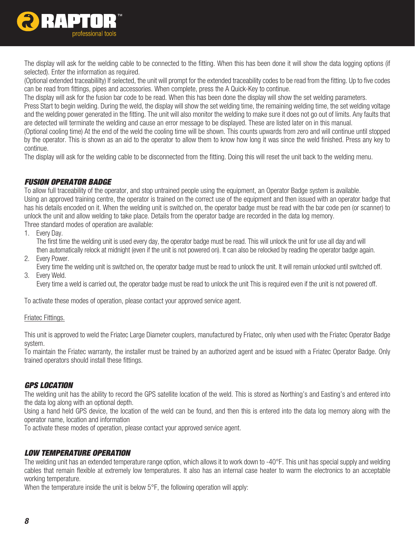

The display will ask for the welding cable to be connected to the fitting. When this has been done it will show the data logging options (if selected). Enter the information as required.

(Optional extended traceabililty) If selected, the unit will prompt for the extended traceability codes to be read from the fitting. Up to five codes can be read from fittings, pipes and accessories. When complete, press the A Quick-Key to continue.

The display will ask for the fusion bar code to be read. When this has been done the display will show the set welding parameters.

Press Start to begin welding. During the weld, the display will show the set welding time, the remaining welding time, the set welding voltage and the welding power generated in the fitting. The unit will also monitor the welding to make sure it does not go out of limits. Any faults that are detected will terminate the welding and cause an error message to be displayed. These are listed later on in this manual.

(Optional cooling time) At the end of the weld the cooling time will be shown. This counts upwards from zero and will continue until stopped by the operator. This is shown as an aid to the operator to allow them to know how long it was since the weld finished. Press any key to continue.

The display will ask for the welding cable to be disconnected from the fitting. Doing this will reset the unit back to the welding menu.

# *FUSION OPERATor BADGE*

To allow full traceability of the operator, and stop untrained people using the equipment, an Operator Badge system is available. Using an approved training centre, the operator is trained on the correct use of the equipment and then issued with an operator badge that has his details encoded on it. When the welding unit is switched on, the operator badge must be read with the bar code pen (or scanner) to unlock the unit and allow welding to take place. Details from the operator badge are recorded in the data log memory. Three standard modes of operation are available:

1. Every Day.

 The first time the welding unit is used every day, the operator badge must be read. This will unlock the unit for use all day and will then automatically relock at midnight (even if the unit is not powered on). It can also be relocked by reading the operator badge again.

- 2. Every Power.
- Every time the welding unit is switched on, the operator badge must be read to unlock the unit. It will remain unlocked until switched off. 3. Every Weld.

 Every time a weld is carried out, the operator badge must be read to unlock the unit This is required even if the unit is not powered off.

To activate these modes of operation, please contact your approved service agent.

#### Friatec Fittings.

This unit is approved to weld the Friatec Large Diameter couplers, manufactured by Friatec, only when used with the Friatec Operator Badge system.

To maintain the Friatec warranty, the installer must be trained by an authorized agent and be issued with a Friatec Operator Badge. Only trained operators should install these fittings.

## *GPS LOCATION*

The welding unit has the ability to record the GPS satellite location of the weld. This is stored as Northing's and Easting's and entered into the data log along with an optional depth.

Using a hand held GPS device, the location of the weld can be found, and then this is entered into the data log memory along with the operator name, location and information

To activate these modes of operation, please contact your approved service agent.

## *LOW TEMPERATURE OPERATION*

The welding unit has an extended temperature range option, which allows it to work down to -40°F. This unit has special supply and welding cables that remain flexible at extremely low temperatures. It also has an internal case heater to warm the electronics to an acceptable working temperature.

When the temperature inside the unit is below 5°F, the following operation will apply: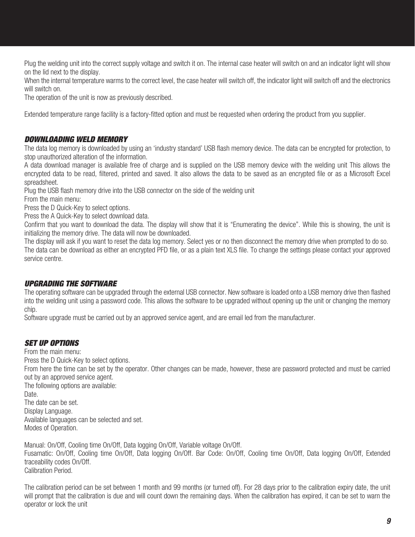Plug the welding unit into the correct supply voltage and switch it on. The internal case heater will switch on and an indicator light will show on the lid next to the display.

When the internal temperature warms to the correct level, the case heater will switch off, the indicator light will switch off and the electronics will switch on.

The operation of the unit is now as previously described.

Extended temperature range facility is a factory-fitted option and must be requested when ordering the product from you supplier.

# *DOWNLOADING WELD MEMORY*

The data log memory is downloaded by using an 'industry standard' USB flash memory device. The data can be encrypted for protection, to stop unauthorized alteration of the information.

A data download manager is available free of charge and is supplied on the USB memory device with the welding unit This allows the encrypted data to be read, filtered, printed and saved. It also allows the data to be saved as an encrypted file or as a Microsoft Excel spreadsheet.

Plug the USB flash memory drive into the USB connector on the side of the welding unit

From the main menu:

Press the D Quick-Key to select options.

Press the A Quick-Key to select download data.

Confirm that you want to download the data. The display will show that it is "Enumerating the device". While this is showing, the unit is initializing the memory drive. The data will now be downloaded.

The display will ask if you want to reset the data log memory. Select yes or no then disconnect the memory drive when prompted to do so. The data can be download as either an encrypted PFD file, or as a plain text XLS file. To change the settings please contact your approved service centre.

# *UPGRADING THE SOFTWARE*

The operating software can be upgraded through the external USB connector. New software is loaded onto a USB memory drive then flashed into the welding unit using a password code. This allows the software to be upgraded without opening up the unit or changing the memory chip.

Software upgrade must be carried out by an approved service agent, and are email led from the manufacturer.

# *SET UP OPTIONS*

From the main menu: Press the D Quick-Key to select options. From here the time can be set by the operator. Other changes can be made, however, these are password protected and must be carried out by an approved service agent. The following options are available: Date. The date can be set. Display Language. Available languages can be selected and set. Modes of Operation.

Manual: On/Off, Cooling time On/Off, Data logging On/Off, Variable voltage On/Off. Fusamatic: On/Off, Cooling time On/Off, Data logging On/Off. Bar Code: On/Off, Cooling time On/Off, Data logging On/Off, Extended traceability codes On/Off. Calibration Period.

The calibration period can be set between 1 month and 99 months (or turned off). For 28 days prior to the calibration expiry date, the unit will prompt that the calibration is due and will count down the remaining days. When the calibration has expired, it can be set to warn the operator or lock the unit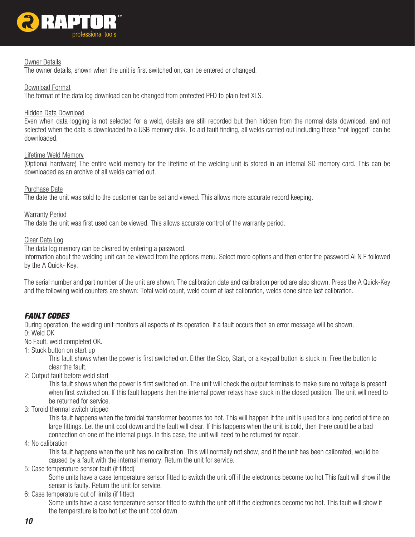

#### Owner Details

The owner details, shown when the unit is first switched on, can be entered or changed.

#### Download Format

The format of the data log download can be changed from protected PFD to plain text XLS.

#### Hidden Data Download

Even when data logging is not selected for a weld, details are still recorded but then hidden from the normal data download, and not selected when the data is downloaded to a USB memory disk. To aid fault finding, all welds carried out including those "not logged" can be downloaded.

#### Lifetime Weld Memory

(Optional hardware) The entire weld memory for the lifetime of the welding unit is stored in an internal SD memory card. This can be downloaded as an archive of all welds carried out.

#### Purchase Date

The date the unit was sold to the customer can be set and viewed. This allows more accurate record keeping.

#### Warranty Period

The date the unit was first used can be viewed. This allows accurate control of the warranty period.

#### Clear Data Log

The data log memory can be cleared by entering a password.

Information about the welding unit can be viewed from the options menu. Select more options and then enter the password Al N F followed by the A Quick- Key.

The serial number and part number of the unit are shown. The calibration date and calibration period are also shown. Press the A Quick-Key and the following weld counters are shown: Total weld count, weld count at last calibration, welds done since last calibration.

# *FAULT CODES*

During operation, the welding unit monitors all aspects of its operation. If a fault occurs then an error message will be shown. 0: Weld OK

No Fault, weld completed OK.

1: Stuck button on start up

 This fault shows when the power is first switched on. Either the Stop, Start, or a keypad button is stuck in. Free the button to clear the fault.

2: Output fault before weld start

 This fault shows when the power is first switched on. The unit will check the output terminals to make sure no voltage is present when first switched on. If this fault happens then the internal power relays have stuck in the closed position. The unit will need to be returned for service.

3: Toroid thermal switch tripped

 This fault happens when the toroidal transformer becomes too hot. This will happen if the unit is used for a long period of time on large fittings. Let the unit cool down and the fault will clear. If this happens when the unit is cold, then there could be a bad connection on one of the internal plugs. In this case, the unit will need to be returned for repair.

4: No calibration

 This fault happens when the unit has no calibration. This will normally not show, and if the unit has been calibrated, would be caused by a fault with the internal memory. Return the unit for service.

5: Case temperature sensor fault (if fitted)

 Some units have a case temperature sensor fitted to switch the unit off if the electronics become too hot This fault will show if the sensor is faulty. Return the unit for service.

6: Case temperature out of limits (if fitted)

 Some units have a case temperature sensor fitted to switch the unit off if the electronics become too hot. This fault will show if the temperature is too hot Let the unit cool down.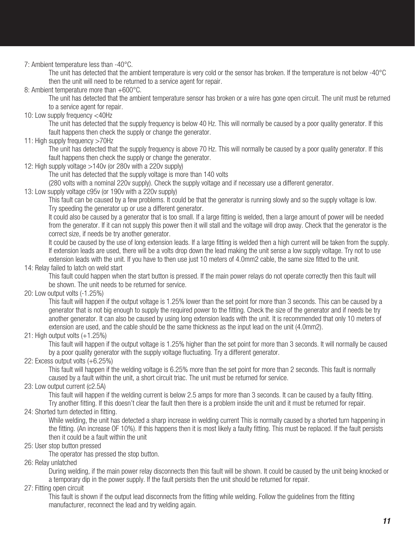7: Ambient temperature less than -40°C.

 The unit has detected that the ambient temperature is very cold or the sensor has broken. If the temperature is not below -40°C then the unit will need to be returned to a service agent for repair.

8: Ambient temperature more than +600°C.

 The unit has detected that the ambient temperature sensor has broken or a wire has gone open circuit. The unit must be returned to a service agent for repair.

10: Low supply frequency <40Hz

 The unit has detected that the supply frequency is below 40 Hz. This will normally be caused by a poor quality generator. If this fault happens then check the supply or change the generator.

11: High supply frequency >70Hz

 The unit has detected that the supply frequency is above 70 Hz. This will normally be caused by a poor quality generator. If this fault happens then check the supply or change the generator.

12: High supply voltage >140v (or 280v with a 220v supply)

 The unit has detected that the supply voltage is more than 140 volts

 (280 volts with a nominal 220v supply). Check the supply voltage and if necessary use a different generator.

13: Low supply voltage c95v (or 190v with a 220v supply)

 This fault can be caused by a few problems. It could be that the generator is running slowly and so the supply voltage is low. Try speeding the generator up or use a different generator.

 It could also be caused by a generator that is too small. If a large fitting is welded, then a large amount of power will be needed from the generator. If it can not supply this power then it will stall and the voltage will drop away. Check that the generator is the correct size, if needs be try another generator.

 It could be caused by the use of long extension leads. If a large fitting is welded then a high current will be taken from the supply. If extension leads are used, there will be a volts drop down the lead making the unit sense a low supply voltage. Try not to use extension leads with the unit. If you have to then use just 10 meters of 4.0mm2 cable, the same size fitted to the unit.

14: Relay failed to latch on weld start

 This fault could happen when the start button is pressed. If the main power relays do not operate correctly then this fault will be shown. The unit needs to be returned for service.

20: Low output volts (-1.25%)

 This fault will happen if the output voltage is 1.25% lower than the set point for more than 3 seconds. This can be caused by a generator that is not big enough to supply the required power to the fitting. Check the size of the generator and if needs be try another generator. It can also be caused by using long extension leads with the unit. It is recommended that only 10 meters of extension are used, and the cable should be the same thickness as the input lead on the unit (4.0mm2).

21: High output volts (+1.25%)

 This fault will happen if the output voltage is 1.25% higher than the set point for more than 3 seconds. It will normally be caused by a poor quality generator with the supply voltage fluctuating. Try a different generator.

22: Excess output volts (+6.25%)

 This fault will happen if the welding voltage is 6.25% more than the set point for more than 2 seconds. This fault is normally caused by a fault within the unit, a short circuit triac. The unit must be returned for service.

23: Low output current (c2.5A)

 This fault will happen if the welding current is below 2.5 amps for more than 3 seconds. It can be caused by a faulty fitting. Try another fitting. If this doesn't clear the fault then there is a problem inside the unit and it must be returned for repair.

24: Shorted turn detected in fitting.

While welding, the unit has detected a sharp increase in welding current This is normally caused by a shorted turn happening in the fitting. (An increase OF 10%). If this happens then it is most likely a faulty fitting. This must be replaced. If the fault persists then it could be a fault within the unit

25: User stop button pressed

 The operator has pressed the stop button.

26: Relay unlatched

 During welding, if the main power relay disconnects then this fault will be shown. It could be caused by the unit being knocked or a temporary dip in the power supply. If the fault persists then the unit should be returned for repair.

27: Fitting open circuit

 This fault is shown if the output lead disconnects from the fitting while welding. Follow the guidelines from the fitting manufacturer, reconnect the lead and try welding again.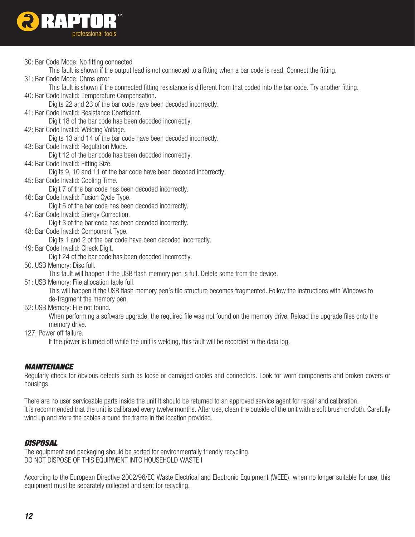

30: Bar Code Mode: No fitting connected

 This fault is shown if the output lead is not connected to a fitting when a bar code is read. Connect the fitting.

31: Bar Code Mode: Ohms error

 This fault is shown if the connected fitting resistance is different from that coded into the bar code. Try another fitting. 40: Bar Code Invalid: Temperature Compensation.

 Digits 22 and 23 of the bar code have been decoded incorrectly.

41: Bar Code Invalid: Resistance Coefficient.

 Digit 18 of the bar code has been decoded incorrectly.

42: Bar Code Invalid: Welding Voltage.

 Digits 13 and 14 of the bar code have been decoded incorrectly.

43: Bar Code Invalid: Regulation Mode.

 Digit 12 of the bar code has been decoded incorrectly.

44: Bar Code Invalid: Fitting Size.

 Digits 9, 10 and 11 of the bar code have been decoded incorrectly.

45: Bar Code Invalid: Cooling Time.

 Digit 7 of the bar code has been decoded incorrectly.

46: Bar Code Invalid: Fusion Cycle Type.

 Digit 5 of the bar code has been decoded incorrectly.

47: Bar Code Invalid: Energy Correction.

 Digit 3 of the bar code has been decoded incorrectly.

48: Bar Code Invalid: Component Type.

 Digits 1 and 2 of the bar code have been decoded incorrectly.

49: Bar Code Invalid: Check Digit.

 Digit 24 of the bar code has been decoded incorrectly.

50. USB Memory: Disc full.

 This fault will happen if the USB flash memory pen is full. Delete some from the device.

51: USB Memory: File allocation table full.

 This will happen if the USB flash memory pen's file structure becomes fragmented. Follow the instructions with Windows to de-fragment the memory pen.

52: USB Memory: File not found.

 When performing a software upgrade, the required file was not found on the memory drive. Reload the upgrade files onto the memory drive.

127: Power off failure.

 If the power is turned off while the unit is welding, this fault will be recorded to the data log.

# *MAINTENANCE*

Regularly check for obvious defects such as loose or damaged cables and connectors. Look for worn components and broken covers or housings.

There are no user serviceable parts inside the unit It should be returned to an approved service agent for repair and calibration. It is recommended that the unit is calibrated every twelve months. After use, clean the outside of the unit with a soft brush or cloth. Carefully wind up and store the cables around the frame in the location provided.

# *DISPOSAL*

The equipment and packaging should be sorted for environmentally friendly recycling. DO NOT DISPOSE OF THIS EQUIPMENT INTO HOUSEHOLD WASTE I

According to the European Directive 2002/96/EC Waste Electrical and Electronic Equipment (WEEE), when no longer suitable for use, this equipment must be separately collected and sent for recycling.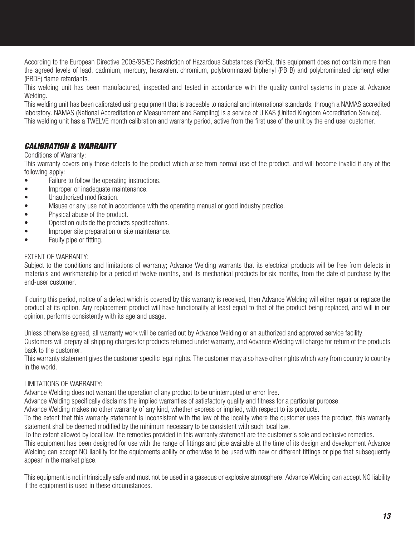According to the European Directive 2005/95/EC Restriction of Hazardous Substances (RoHS), this equipment does not contain more than the agreed levels of lead, cadmium, mercury, hexavalent chromium, polybrominated biphenyl (PB B) and polybrominated diphenyl ether (PBDE) flame retardants.

This welding unit has been manufactured, inspected and tested in accordance with the quality control systems in place at Advance Welding.

This welding unit has been calibrated using equipment that is traceable to national and international standards, through a NAMAS accredited laboratory. NAMAS (National Accreditation of Measurement and Sampling) is a service of U KAS (United Kingdom Accreditation Service). This welding unit has a TWELVE month calibration and warranty period, active from the first use of the unit by the end user customer.

# *CALIBRATION & WARRANTY*

#### Conditions of Warranty:

This warranty covers only those defects to the product which arise from normal use of the product, and will become invalid if any of the following apply:

- Failure to follow the operating instructions.
- Improper or inadequate maintenance.
- Unauthorized modification.
- Misuse or any use not in accordance with the operating manual or good industry practice.
- Physical abuse of the product.
- Operation outside the products specifications.
- Improper site preparation or site maintenance.
- Faulty pipe or fitting.

#### Extent of Warranty:

Subject to the conditions and limitations of warranty; Advance Welding warrants that its electrical products will be free from defects in materials and workmanship for a period of twelve months, and its mechanical products for six months, from the date of purchase by the end-user customer.

If during this period, notice of a defect which is covered by this warranty is received, then Advance Welding will either repair or replace the product at its option. Any replacement product will have functionality at least equal to that of the product being replaced, and will in our opinion, performs consistently with its age and usage.

Unless otherwise agreed, all warranty work will be carried out by Advance Welding or an authorized and approved service facility.

Customers will prepay all shipping charges for products returned under warranty, and Advance Welding will charge for return of the products back to the customer.

This warranty statement gives the customer specific legal rights. The customer may also have other rights which vary from country to country in the world.

## Limitations of Warranty:

Advance Welding does not warrant the operation of any product to be uninterrupted or error free.

Advance Welding specifically disclaims the implied warranties of satisfactory quality and fitness for a particular purpose.

Advance Welding makes no other warranty of any kind, whether express or implied, with respect to its products.

To the extent that this warranty statement is inconsistent with the law of the locality where the customer uses the product, this warranty statement shall be deemed modified by the minimum necessary to be consistent with such local law.

To the extent allowed by local law, the remedies provided in this warranty statement are the customer's sole and exclusive remedies. This equipment has been designed for use with the range of fittings and pipe available at the time of its design and development Advance Welding can accept NO liability for the equipments ability or otherwise to be used with new or different fittings or pipe that subsequently appear in the market place.

This equipment is not intrinsically safe and must not be used in a gaseous or explosive atmosphere. Advance Welding can accept NO liability if the equipment is used in these circumstances.